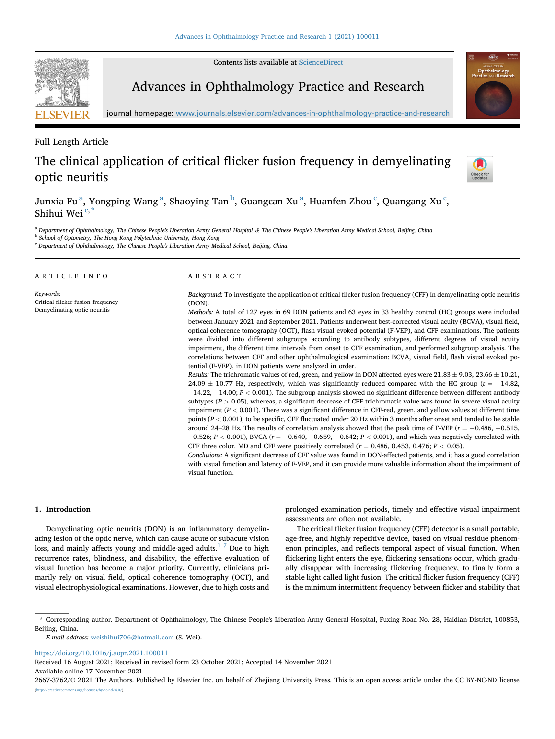Contents lists available at [ScienceDirect](www.sciencedirect.com/science/journal/26673762)



Advances in Ophthalmology Practice and Research

journal homepage: [www.journals.elsevier.com/advances-in-ophthalmology-practice-and-research](http://www.journals.elsevier.com/advances-in-ophthalmology-practice-and-research)

Full Length Article

# The clinical application of critical flicker fusion frequency in demyelinating optic neuritis



Junxi[a](#page-0-0) Fu $\,$ ª, Yongping Wang $\,$ ª, Shaoying Tan $^{\rm b}$  $^{\rm b}$  $^{\rm b}$ , Guang[c](#page-0-2)an Xu $\,$ ª, Huanfen Zhou $\,$ °, Quangang Xu $\,$ °, Shihui Wei<sup>[c,](#page-0-2)</sup>

<span id="page-0-0"></span><sup>a</sup> Department of Ophthalmology, The Chinese People's Liberation Army General Hospital & The Chinese People's Liberation Army Medical School, Beijing, China

<span id="page-0-1"></span><sup>b</sup> School of Optometry, The Hong Kong Polytechnic University, Hong Kong

<span id="page-0-2"></span><sup>c</sup> Department of Ophthalmology, The Chinese People's Liberation Army Medical School, Beijing, China

| ARTICLE INFO                                                                   | ABSTRACT                                                                                                                                                                                                                                                                                                                                                                                                                                                                                                                                                                                                                                                                                                                                                                                                                                                                                                                                                                                                                                                                                                                                                                                                                                                                                                                                                                                                                                                                                                                                                                                                                                                                                                                                                                                                                                                                                                                                                                                                                                                                                                                                                                                                                                          |
|--------------------------------------------------------------------------------|---------------------------------------------------------------------------------------------------------------------------------------------------------------------------------------------------------------------------------------------------------------------------------------------------------------------------------------------------------------------------------------------------------------------------------------------------------------------------------------------------------------------------------------------------------------------------------------------------------------------------------------------------------------------------------------------------------------------------------------------------------------------------------------------------------------------------------------------------------------------------------------------------------------------------------------------------------------------------------------------------------------------------------------------------------------------------------------------------------------------------------------------------------------------------------------------------------------------------------------------------------------------------------------------------------------------------------------------------------------------------------------------------------------------------------------------------------------------------------------------------------------------------------------------------------------------------------------------------------------------------------------------------------------------------------------------------------------------------------------------------------------------------------------------------------------------------------------------------------------------------------------------------------------------------------------------------------------------------------------------------------------------------------------------------------------------------------------------------------------------------------------------------------------------------------------------------------------------------------------------------|
| Keywords:<br>Critical flicker fusion frequency<br>Demyelinating optic neuritis | Background: To investigate the application of critical flicker fusion frequency (CFF) in demyelinating optic neuritis<br>(DON).<br>Methods: A total of 127 eyes in 69 DON patients and 63 eyes in 33 healthy control (HC) groups were included<br>between January 2021 and September 2021. Patients underwent best-corrected visual acuity (BCVA), visual field,<br>optical coherence tomography (OCT), flash visual evoked potential (F-VEP), and CFF examinations. The patients<br>were divided into different subgroups according to antibody subtypes, different degrees of visual acuity<br>impairment, the different time intervals from onset to CFF examination, and performed subgroup analysis. The<br>correlations between CFF and other ophthalmological examination: BCVA, visual field, flash visual evoked po-<br>tential (F-VEP), in DON patients were analyzed in order.<br><i>Results:</i> The trichromatic values of red, green, and yellow in DON affected eyes were $21.83 \pm 9.03$ , $23.66 \pm 10.21$ ,<br>24.09 $\pm$ 10.77 Hz, respectively, which was significantly reduced compared with the HC group ( $t = -14.82$ ,<br>$-14.22, -14.00; P < 0.001$ ). The subgroup analysis showed no significant difference between different antibody<br>subtypes ( $P > 0.05$ ), whereas, a significant decrease of CFF trichromatic value was found in severe visual acuity<br>impairment ( $P < 0.001$ ). There was a significant difference in CFF-red, green, and yellow values at different time<br>points ( $P < 0.001$ ), to be specific, CFF fluctuated under 20 Hz within 3 months after onset and tended to be stable<br>around 24–28 Hz. The results of correlation analysis showed that the peak time of F-VEP ( $r = -0.486, -0.515$ ,<br>$-0.526$ ; $P < 0.001$ ), BVCA ( $r = -0.640$ , $-0.659$ , $-0.642$ ; $P < 0.001$ ), and which was negatively correlated with<br>CFF three color. MD and CFF were positively correlated $(r = 0.486, 0.453, 0.476; P < 0.05)$ .<br>Conclusions: A significant decrease of CFF value was found in DON-affected patients, and it has a good correlation<br>with visual function and latency of F-VEP, and it can provide more valuable information about the impairment of |

## 1. Introduction

Demyelinating optic neuritis (DON) is an inflammatory demyelinating lesion of the optic nerve, which can cause acute or subacute vision loss, and mainly affects young and middle-aged adults.<sup>[1](#page-5-0)-[7](#page-5-0)</sup> Due to high recurrence rates, blindness, and disability, the effective evaluation of visual function has become a major priority. Currently, clinicians primarily rely on visual field, optical coherence tomography (OCT), and visual electrophysiological examinations. However, due to high costs and prolonged examination periods, timely and effective visual impairment assessments are often not available.

The critical flicker fusion frequency (CFF) detector is a small portable, age-free, and highly repetitive device, based on visual residue phenomenon principles, and reflects temporal aspect of visual function. When flickering light enters the eye, flickering sensations occur, which gradually disappear with increasing flickering frequency, to finally form a stable light called light fusion. The critical flicker fusion frequency (CFF) is the minimum intermittent frequency between flicker and stability that

<https://doi.org/10.1016/j.aopr.2021.100011>

Received 16 August 2021; Received in revised form 23 October 2021; Accepted 14 November 2021

Available online 17 November 2021

2667-3762/© 2021 The Authors. Published by Elsevier Inc. on behalf of Zhejiang University Press. This is an open access article under the CC BY-NC-ND license [\(http://creativecommons.org/licenses/by-nc-nd/4.0/\)](http://creativecommons.org/licenses/by-nc-nd/4.0/).

<span id="page-0-3"></span><sup>\*</sup> Corresponding author. Department of Ophthalmology, The Chinese People's Liberation Army General Hospital, Fuxing Road No. 28, Haidian District, 100853, Beijing, China.

E-mail address: [weishihui706@hotmail.com](mailto:weishihui706@hotmail.com) (S. Wei).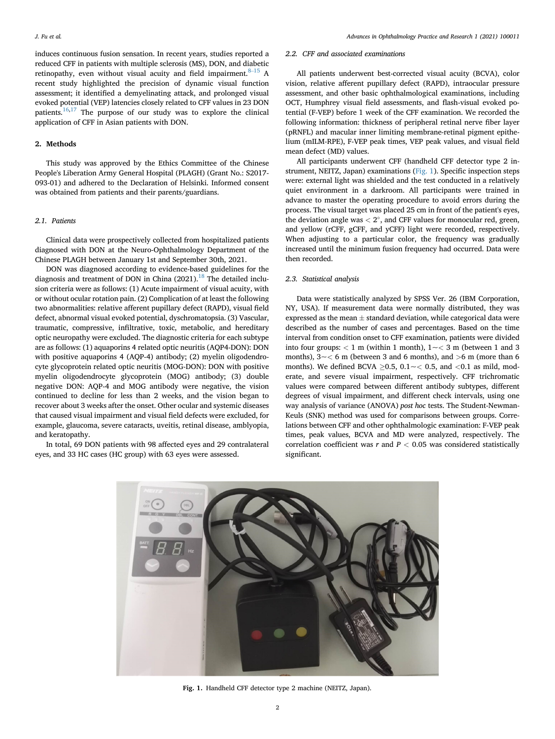induces continuous fusion sensation. In recent years, studies reported a reduced CFF in patients with multiple sclerosis (MS), DON, and diabetic retinopathy, even without visual acuity and field impairment. $8-15$  $8-15$  $8-15$  A recent study highlighted the precision of dynamic visual function assessment; it identified a demyelinating attack, and prolonged visual evoked potential (VEP) latencies closely related to CFF values in 23 DON patients.<sup>16,[17](#page-5-3)</sup> The purpose of our study was to explore the clinical application of CFF in Asian patients with DON.

#### 2. Methods

This study was approved by the Ethics Committee of the Chinese People's Liberation Army General Hospital (PLAGH) (Grant No.: S2017- 093-01) and adhered to the Declaration of Helsinki. Informed consent was obtained from patients and their parents/guardians.

#### 2.1. Patients

Clinical data were prospectively collected from hospitalized patients diagnosed with DON at the Neuro-Ophthalmology Department of the Chinese PLAGH between January 1st and September 30th, 2021.

DON was diagnosed according to evidence-based guidelines for the diagnosis and treatment of DON in China  $(2021).$ <sup>[18](#page-5-4)</sup> The detailed inclusion criteria were as follows: (1) Acute impairment of visual acuity, with or without ocular rotation pain. (2) Complication of at least the following two abnormalities: relative afferent pupillary defect (RAPD), visual field defect, abnormal visual evoked potential, dyschromatopsia. (3) Vascular, traumatic, compressive, infiltrative, toxic, metabolic, and hereditary optic neuropathy were excluded. The diagnostic criteria for each subtype are as follows: (1) aquaporins 4 related optic neuritis (AQP4-DON): DON with positive aquaporins 4 (AQP-4) antibody; (2) myelin oligodendrocyte glycoprotein related optic neuritis (MOG-DON): DON with positive myelin oligodendrocyte glycoprotein (MOG) antibody; (3) double negative DON: AQP-4 and MOG antibody were negative, the vision continued to decline for less than 2 weeks, and the vision began to recover about 3 weeks after the onset. Other ocular and systemic diseases that caused visual impairment and visual field defects were excluded, for example, glaucoma, severe cataracts, uveitis, retinal disease, amblyopia, and keratopathy.

<span id="page-1-0"></span>In total, 69 DON patients with 98 affected eyes and 29 contralateral eyes, and 33 HC cases (HC group) with 63 eyes were assessed.

## 2.2. CFF and associated examinations

All patients underwent best-corrected visual acuity (BCVA), color vision, relative afferent pupillary defect (RAPD), intraocular pressure assessment, and other basic ophthalmological examinations, including OCT, Humphrey visual field assessments, and flash-visual evoked potential (F-VEP) before 1 week of the CFF examination. We recorded the following information: thickness of peripheral retinal nerve fiber layer (pRNFL) and macular inner limiting membrane-retinal pigment epithelium (mILM-RPE), F-VEP peak times, VEP peak values, and visual field mean defect (MD) values.

All participants underwent CFF (handheld CFF detector type 2 instrument, NEITZ, Japan) examinations [\(Fig. 1\)](#page-1-0). Specific inspection steps were: external light was shielded and the test conducted in a relatively quiet environment in a darkroom. All participants were trained in advance to master the operating procedure to avoid errors during the process. The visual target was placed 25 cm in front of the patient's eyes, the deviation angle was  $\langle 2^{\circ}, \rangle$  and CFF values for monocular red, green, and yellow (rCFF, gCFF, and yCFF) light were recorded, respectively. When adjusting to a particular color, the frequency was gradually increased until the minimum fusion frequency had occurred. Data were then recorded.

#### 2.3. Statistical analysis

Data were statistically analyzed by SPSS Ver. 26 (IBM Corporation, NY, USA). If measurement data were normally distributed, they was expressed as the mean  $\pm$  standard deviation, while categorical data were described as the number of cases and percentages. Based on the time interval from condition onset to CFF examination, patients were divided into four groups:  $< 1$  m (within 1 month),  $1 \sim < 3$  m (between 1 and 3 months),  $3 < 6$  m (between 3 and 6 months), and  $> 6$  m (more than 6 months). We defined BCVA  $\geq$ 0.5, 0.1  $\lt$  0.5, and  $\lt$ 0.1 as mild, moderate, and severe visual impairment, respectively. CFF trichromatic values were compared between different antibody subtypes, different degrees of visual impairment, and different check intervals, using one way analysis of variance (ANOVA) post hoc tests. The Student-Newman-Keuls (SNK) method was used for comparisons between groups. Correlations between CFF and other ophthalmologic examination: F-VEP peak times, peak values, BCVA and MD were analyzed, respectively. The correlation coefficient was  $r$  and  $P < 0.05$  was considered statistically significant.



Fig. 1. Handheld CFF detector type 2 machine (NEITZ, Japan).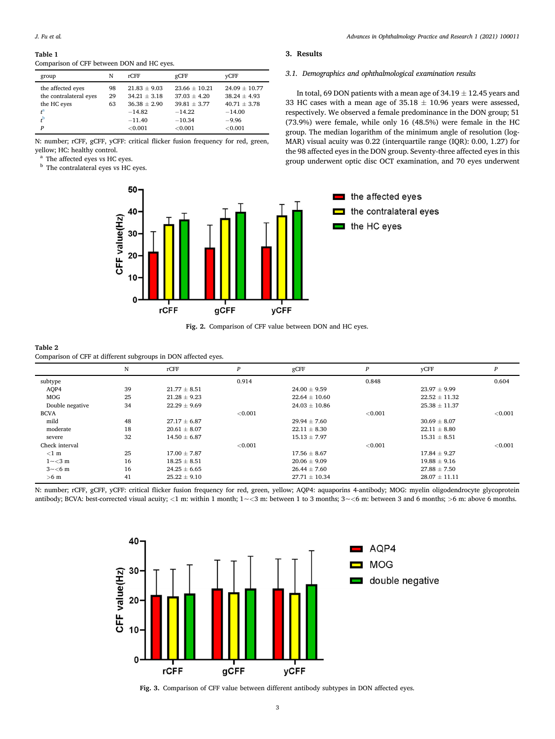# <span id="page-2-2"></span>Table 1

Comparison of CFF between DON and HC eyes.

| group                  | N  | rCFF           | gCFF            | vCFF              |
|------------------------|----|----------------|-----------------|-------------------|
| the affected eyes      | 98 | $21.83 + 9.03$ | $23.66 + 10.21$ | $24.09 \pm 10.77$ |
| the contralateral eyes | 29 | $34.21 + 3.18$ | $37.03 + 4.20$  | $38.24 + 4.93$    |
| the HC eyes            | 63 | $36.38 + 2.90$ | $39.81 + 3.77$  | $40.71 + 3.78$    |
| ŕ                      |    | $-14.82$       | $-14.22$        | $-14.00$          |
|                        |    | $-11.40$       | $-10.34$        | $-9.96$           |
| D                      |    | ${<}0.001$     | < 0.001         | ${<}0.001$        |
|                        |    |                |                 |                   |

N: number; rCFF, gCFF, yCFF: critical flicker fusion frequency for red, green, yellow; HC: healthy control.

<span id="page-2-0"></span><sup>a</sup> The affected eyes vs HC eyes.

<span id="page-2-3"></span><span id="page-2-1"></span><sup>b</sup> The contralateral eyes vs HC eyes.



## J. Fu et al. Advances in Ophthalmology Practice and Research 1 (2021) 100011

## 3. Results

## 3.1. Demographics and ophthalmological examination results

In total, 69 DON patients with a mean age of  $34.19 \pm 12.45$  years and 33 HC cases with a mean age of  $35.18 \pm 10.96$  years were assessed, respectively. We observed a female predominance in the DON group; 51 (73.9%) were female, while only 16 (48.5%) were female in the HC group. The median logarithm of the minimum angle of resolution (log-MAR) visual acuity was 0.22 (interquartile range (IQR): 0.00, 1.27) for the 98 affected eyes in the DON group. Seventy-three affected eyes in this group underwent optic disc OCT examination, and 70 eyes underwent



Fig. 2. Comparison of CFF value between DON and HC eyes.

## <span id="page-2-4"></span>Table 2 Comparison of CFF at different subgroups in DON affected eyes.

|                 | N  | rCFF             | P       | gCFF              | $\boldsymbol{p}$ | yCFF              | P       |
|-----------------|----|------------------|---------|-------------------|------------------|-------------------|---------|
| subtype         |    |                  | 0.914   |                   | 0.848            |                   | 0.604   |
| AQP4            | 39 | $21.77 \pm 8.51$ |         | $24.00 \pm 9.59$  |                  | $23.97 \pm 9.99$  |         |
| MOG             | 25 | $21.28 + 9.23$   |         | $22.64 \pm 10.60$ |                  | $22.52 \pm 11.32$ |         |
| Double negative | 34 | $22.29 \pm 9.69$ |         | $24.03 \pm 10.86$ |                  | $25.38 \pm 11.37$ |         |
| <b>BCVA</b>     |    |                  | < 0.001 |                   | < 0.001          |                   | < 0.001 |
| mild            | 48 | $27.17 \pm 6.87$ |         | $29.94 \pm 7.60$  |                  | $30.69 \pm 8.07$  |         |
| moderate        | 18 | $20.61 \pm 8.07$ |         | $22.11 \pm 8.30$  |                  | $22.11 \pm 8.80$  |         |
| severe          | 32 | $14.50 \pm 6.87$ |         | $15.13 \pm 7.97$  |                  | $15.31 \pm 8.51$  |         |
| Check interval  |    |                  | < 0.001 |                   | < 0.001          |                   | < 0.001 |
| $<$ 1 m         | 25 | $17.00 \pm 7.87$ |         | $17.56 \pm 8.67$  |                  | $17.84 \pm 9.27$  |         |
| $1 - < 3$ m     | 16 | $18.25 \pm 8.51$ |         | $20.06 \pm 9.09$  |                  | $19.88 \pm 9.16$  |         |
| $3 - 6m$        | 16 | $24.25 \pm 6.65$ |         | $26.44 \pm 7.60$  |                  | $27.88 \pm 7.50$  |         |
| $>6$ m          | 41 | $25.22 \pm 9.10$ |         | $27.71 \pm 10.34$ |                  | $28.07 \pm 11.11$ |         |

<span id="page-2-5"></span>N: number; rCFF, gCFF, yCFF: critical flicker fusion frequency for red, green, yellow; AQP4: aquaporins 4-antibody; MOG: myelin oligodendrocyte glycoprotein antibody; BCVA: best-corrected visual acuity; <1 m: within 1 month;  $1 - < 3$  m: between 1 to 3 months;  $3 - < 6$  m: between 3 and 6 months; >6 m: above 6 months.



Fig. 3. Comparison of CFF value between different antibody subtypes in DON affected eyes.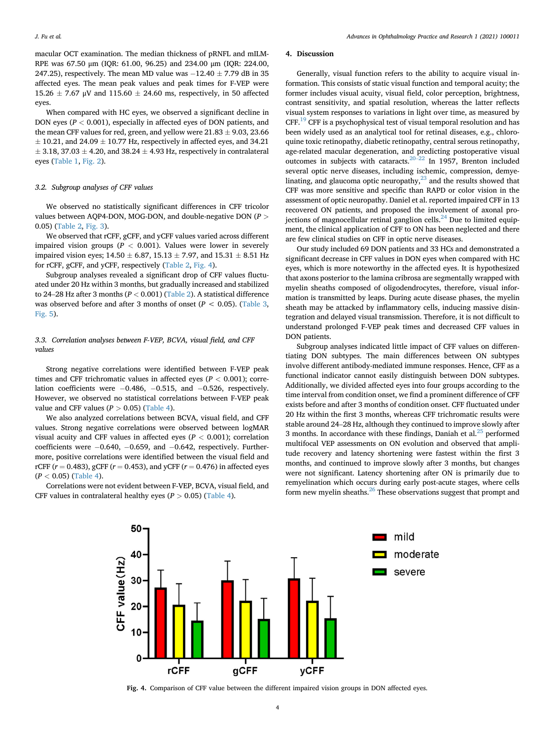macular OCT examination. The median thickness of pRNFL and mILM-RPE was 67.50 μm (IQR: 61.00, 96.25) and 234.00 μm (IQR: 224.00, 247.25), respectively. The mean MD value was  $-12.40 \pm 7.79$  dB in 35 affected eyes. The mean peak values and peak times for F-VEP were  $15.26 \pm 7.67$  µV and  $115.60 \pm 24.60$  ms, respectively, in 50 affected eyes.

When compared with HC eyes, we observed a significant decline in DON eyes ( $P < 0.001$ ), especially in affected eyes of DON patients, and the mean CFF values for red, green, and yellow were  $21.83 \pm 9.03$ , 23.66  $\pm$  10.21, and 24.09  $\pm$  10.77 Hz, respectively in affected eyes, and 34.21  $\pm$  3.18, 37.03  $\pm$  4.20, and 38.24  $\pm$  4.93 Hz, respectively in contralateral eyes [\(Table 1](#page-2-2), [Fig. 2\)](#page-2-3).

## 3.2. Subgroup analyses of CFF values

We observed no statistically significant differences in CFF tricolor values between AQP4-DON, MOG-DON, and double-negative DON ( $P >$ 0.05) ([Table 2,](#page-2-4) [Fig. 3\)](#page-2-5).

We observed that rCFF, gCFF, and yCFF values varied across different impaired vision groups ( $P < 0.001$ ). Values were lower in severely impaired vision eyes;  $14.50 \pm 6.87$ ,  $15.13 \pm 7.97$ , and  $15.31 \pm 8.51$  Hz for rCFF, gCFF, and yCFF, respectively [\(Table 2,](#page-2-4) [Fig. 4\)](#page-3-0).

Subgroup analyses revealed a significant drop of CFF values fluctuated under 20 Hz within 3 months, but gradually increased and stabilized to 24–28 Hz after 3 months ( $P < 0.001$ ) [\(Table 2\)](#page-2-4). A statistical difference was observed before and after 3 months of onset ( $P < 0.05$ ). [\(Table 3,](#page-4-0) [Fig. 5](#page-4-1)).

# 3.3. Correlation analyses between F-VEP, BCVA, visual field, and CFF values

Strong negative correlations were identified between F-VEP peak times and CFF trichromatic values in affected eyes ( $P < 0.001$ ); correlation coefficients were  $-0.486$ ,  $-0.515$ , and  $-0.526$ , respectively. However, we observed no statistical correlations between F-VEP peak value and CFF values  $(P > 0.05)$  ([Table 4\)](#page-4-2).

We also analyzed correlations between BCVA, visual field, and CFF values. Strong negative correlations were observed between logMAR visual acuity and CFF values in affected eyes ( $P < 0.001$ ); correlation coefficients were  $-0.640$ ,  $-0.659$ , and  $-0.642$ , respectively. Furthermore, positive correlations were identified between the visual field and rCFF ( $r = 0.483$ ), gCFF ( $r = 0.453$ ), and yCFF ( $r = 0.476$ ) in affected eyes  $(P < 0.05)$  ([Table 4](#page-4-2)).

<span id="page-3-0"></span>Correlations were not evident between F-VEP, BCVA, visual field, and CFF values in contralateral healthy eyes ( $P > 0.05$ ) ([Table 4](#page-4-2)).

## 4. Discussion

Generally, visual function refers to the ability to acquire visual information. This consists of static visual function and temporal acuity; the former includes visual acuity, visual field, color perception, brightness, contrast sensitivity, and spatial resolution, whereas the latter reflects visual system responses to variations in light over time, as measured by CFF.<sup>19</sup> CFF is a psychophysical test of visual temporal resolution and has been widely used as an analytical tool for retinal diseases, e.g., chloroquine toxic retinopathy, diabetic retinopathy, central serous retinopathy, age-related macular degeneration, and predicting postoperative visual outcomes in subjects with cataracts.[20](#page-5-6)–[22](#page-5-6) In 1957, Brenton included several optic nerve diseases, including ischemic, compression, demyelinating, and glaucoma optic neuropathy, $^{23}$  and the results showed that CFF was more sensitive and specific than RAPD or color vision in the assessment of optic neuropathy. Daniel et al. reported impaired CFF in 13 recovered ON patients, and proposed the involvement of axonal proiections of magnocellular retinal ganglion cells.<sup>24</sup> Due to limited equipment, the clinical application of CFF to ON has been neglected and there are few clinical studies on CFF in optic nerve diseases.

Our study included 69 DON patients and 33 HCs and demonstrated a significant decrease in CFF values in DON eyes when compared with HC eyes, which is more noteworthy in the affected eyes. It is hypothesized that axons posterior to the lamina cribrosa are segmentally wrapped with myelin sheaths composed of oligodendrocytes, therefore, visual information is transmitted by leaps. During acute disease phases, the myelin sheath may be attacked by inflammatory cells, inducing massive disintegration and delayed visual transmission. Therefore, it is not difficult to understand prolonged F-VEP peak times and decreased CFF values in DON patients.

Subgroup analyses indicated little impact of CFF values on differentiating DON subtypes. The main differences between ON subtypes involve different antibody-mediated immune responses. Hence, CFF as a functional indicator cannot easily distinguish between DON subtypes. Additionally, we divided affected eyes into four groups according to the time interval from condition onset, we find a prominent difference of CFF exists before and after 3 months of condition onset. CFF fluctuated under 20 Hz within the first 3 months, whereas CFF trichromatic results were time interval from condition onset, we find a prominent difference of CFF exists before and after 3 months of condition onset. CFF fluctuated under 20 Hz within the first 3 months, whereas CFF trichromatic results were sta 3 months. In accordance with these findings, Daniah et al. $25$  performed multifocal VEP assessments on ON evolution and observed that amplitude recovery and latency shortening were fastest within the first 3 months, and continued to improve slowly after 3 months, but changes were not significant. Latency shortening after ON is primarily due to remyelination which occurs during early post-acute stages, where cells form new myelin sheaths. $^{26}$  These observations suggest that prompt and



Fig. 4. Comparison of CFF value between the different impaired vision groups in DON affected eyes.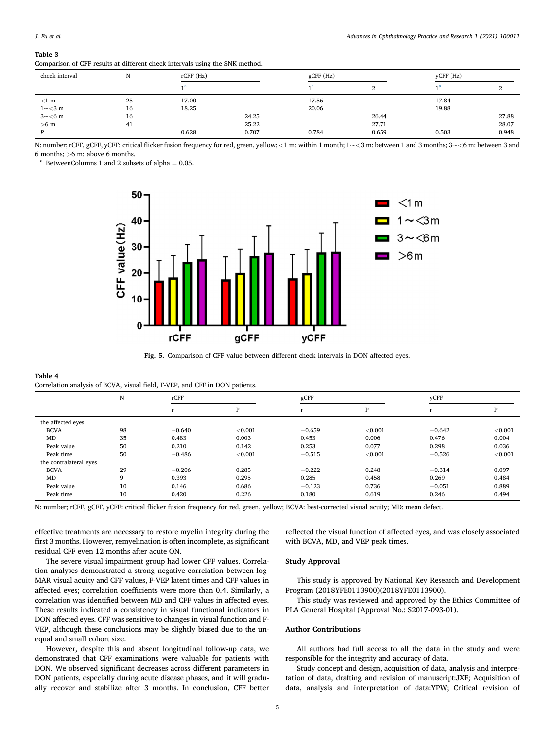# <span id="page-4-0"></span>Table 3

|  |  | Comparison of CFF results at different check intervals using the SNK method. |
|--|--|------------------------------------------------------------------------------|
|  |  |                                                                              |

| check interval | N  | $rCFF$ (Hz) |       | gCFF (Hz) |       | yCFF (Hz) |       |
|----------------|----|-------------|-------|-----------|-------|-----------|-------|
|                |    | - а         |       |           |       | ٦a        |       |
| $<1$ m         | 25 | 17.00       |       | 17.56     |       | 17.84     |       |
| $1 - 3m$       | 16 | 18.25       |       | 20.06     |       | 19.88     |       |
| $3 - 6m$       | 16 |             | 24.25 |           | 26.44 |           | 27.88 |
| $>6$ m         | 41 |             | 25.22 |           | 27.71 |           | 28.07 |
|                |    | 0.628       | 0.707 | 0.784     | 0.659 | 0.503     | 0.948 |

N: number; rCFF, gCFF, yCFF: critical flicker fusion frequency for red, green, yellow; <1 m: within 1 month; 1~<3 m: between 1 and 3 months; 3~<6 m: between 3 and 6 months; >6 m: above 6 months.

<span id="page-4-3"></span><span id="page-4-1"></span>BetweenColumns 1 and 2 subsets of alpha  $= 0.05$ .



Fig. 5. Comparison of CFF value between different check intervals in DON affected eyes.

## <span id="page-4-2"></span>Table 4

Correlation analysis of BCVA, visual field, F-VEP, and CFF in DON patients.

|                        | N           | rCFF      |         | gCFF      |         | yCFF      |         |
|------------------------|-------------|-----------|---------|-----------|---------|-----------|---------|
|                        |             | $\bullet$ | P       | $\bullet$ | P       | $\bullet$ | P       |
| the affected eyes      |             |           |         |           |         |           |         |
| <b>BCVA</b>            | 98          | $-0.640$  | < 0.001 | $-0.659$  | < 0.001 | $-0.642$  | < 0.001 |
| MD                     | 35          | 0.483     | 0.003   | 0.453     | 0.006   | 0.476     | 0.004   |
| Peak value             | 50          | 0.210     | 0.142   | 0.253     | 0.077   | 0.298     | 0.036   |
| Peak time              | 50          | $-0.486$  | < 0.001 | $-0.515$  | < 0.001 | $-0.526$  | < 0.001 |
| the contralateral eyes |             |           |         |           |         |           |         |
| <b>BCVA</b>            | 29          | $-0.206$  | 0.285   | $-0.222$  | 0.248   | $-0.314$  | 0.097   |
| MD                     | $\mathbf Q$ | 0.393     | 0.295   | 0.285     | 0.458   | 0.269     | 0.484   |
| Peak value             | 10          | 0.146     | 0.686   | $-0.123$  | 0.736   | $-0.051$  | 0.889   |
| Peak time              | 10          | 0.420     | 0.226   | 0.180     | 0.619   | 0.246     | 0.494   |

N: number; rCFF, gCFF, yCFF: critical flicker fusion frequency for red, green, yellow; BCVA: best-corrected visual acuity; MD: mean defect.

effective treatments are necessary to restore myelin integrity during the first 3 months. However, remyelination is often incomplete, as significant residual CFF even 12 months after acute ON.

The severe visual impairment group had lower CFF values. Correlation analyses demonstrated a strong negative correlation between log-MAR visual acuity and CFF values, F-VEP latent times and CFF values in affected eyes; correlation coefficients were more than 0.4. Similarly, a correlation was identified between MD and CFF values in affected eyes. These results indicated a consistency in visual functional indicators in DON affected eyes. CFF was sensitive to changes in visual function and F-VEP, although these conclusions may be slightly biased due to the unequal and small cohort size.

However, despite this and absent longitudinal follow-up data, we demonstrated that CFF examinations were valuable for patients with DON. We observed significant decreases across different parameters in DON patients, especially during acute disease phases, and it will gradually recover and stabilize after 3 months. In conclusion, CFF better reflected the visual function of affected eyes, and was closely associated with BCVA, MD, and VEP peak times.

## Study Approval

This study is approved by National Key Research and Development Program (2018YFE0113900)(2018YFE0113900).

This study was reviewed and approved by the Ethics Committee of PLA General Hospital (Approval No.: S2017-093-01).

## Author Contributions

All authors had full access to all the data in the study and were responsible for the integrity and accuracy of data.

Study concept and design, acquisition of data, analysis and interpretation of data, drafting and revision of manuscript:JXF; Acquisition of data, analysis and interpretation of data:YPW; Critical revision of